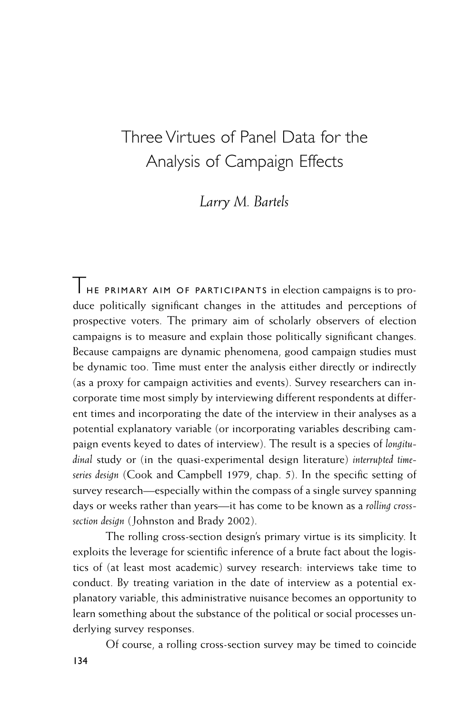# Three Virtues of Panel Data for the Analysis of Campaign Effects

# *Larry M. Bartels*

 $\Box$  HF PRIMARY AIM OF PARTICIPANTS in election campaigns is to produce politically significant changes in the attitudes and perceptions of prospective voters. The primary aim of scholarly observers of election campaigns is to measure and explain those politically significant changes. Because campaigns are dynamic phenomena, good campaign studies must be dynamic too. Time must enter the analysis either directly or indirectly (as a proxy for campaign activities and events). Survey researchers can incorporate time most simply by interviewing different respondents at different times and incorporating the date of the interview in their analyses as a potential explanatory variable (or incorporating variables describing campaign events keyed to dates of interview). The result is a species of *longitudinal* study or (in the quasi-experimental design literature) *interrupted time*series design (Cook and Campbell 1979, chap. 5). In the specific setting of survey research—especially within the compass of a single survey spanning days or weeks rather than years—it has come to be known as a *rolling crosssection design* (Johnston and Brady 2002).

The rolling cross-section design's primary virtue is its simplicity. It exploits the leverage for scientific inference of a brute fact about the logistics of (at least most academic) survey research: interviews take time to conduct. By treating variation in the date of interview as a potential explanatory variable, this administrative nuisance becomes an opportunity to learn something about the substance of the political or social processes underlying survey responses.

Of course, a rolling cross-section survey may be timed to coincide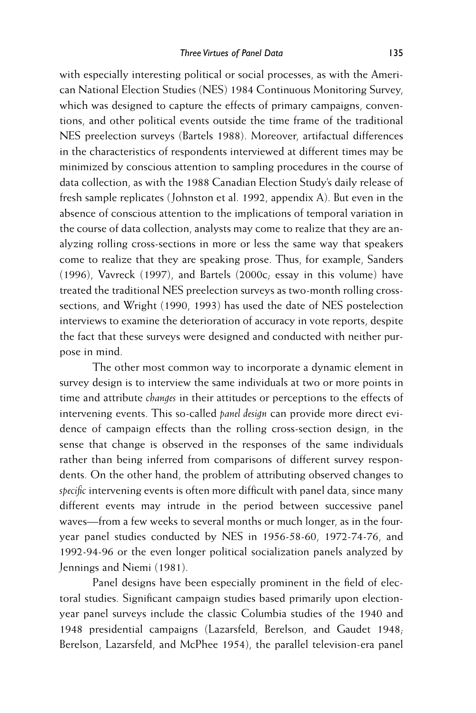with especially interesting political or social processes, as with the American National Election Studies (NES) 1984 Continuous Monitoring Survey, which was designed to capture the effects of primary campaigns, conventions, and other political events outside the time frame of the traditional NES preelection surveys (Bartels 1988). Moreover, artifactual differences in the characteristics of respondents interviewed at different times may be minimized by conscious attention to sampling procedures in the course of data collection, as with the 1988 Canadian Election Study's daily release of fresh sample replicates (Johnston et al. 1992, appendix A). But even in the absence of conscious attention to the implications of temporal variation in the course of data collection, analysts may come to realize that they are analyzing rolling cross-sections in more or less the same way that speakers come to realize that they are speaking prose. Thus, for example, Sanders (1996), Vavreck (1997), and Bartels (2000c; essay in this volume) have treated the traditional NES preelection surveys as two-month rolling crosssections, and Wright (1990, 1993) has used the date of NES postelection interviews to examine the deterioration of accuracy in vote reports, despite the fact that these surveys were designed and conducted with neither purpose in mind.

The other most common way to incorporate a dynamic element in survey design is to interview the same individuals at two or more points in time and attribute *changes* in their attitudes or perceptions to the effects of intervening events. This so-called *panel design* can provide more direct evidence of campaign effects than the rolling cross-section design, in the sense that change is observed in the responses of the same individuals rather than being inferred from comparisons of different survey respondents. On the other hand, the problem of attributing observed changes to specific intervening events is often more difficult with panel data, since many different events may intrude in the period between successive panel waves—from a few weeks to several months or much longer, as in the fouryear panel studies conducted by NES in 1956-58-60, 1972-74-76, and 1992-94-96 or the even longer political socialization panels analyzed by Jennings and Niemi (1981).

Panel designs have been especially prominent in the field of electoral studies. Significant campaign studies based primarily upon electionyear panel surveys include the classic Columbia studies of the 1940 and 1948 presidential campaigns (Lazarsfeld, Berelson, and Gaudet 1948; Berelson, Lazarsfeld, and McPhee 1954), the parallel television-era panel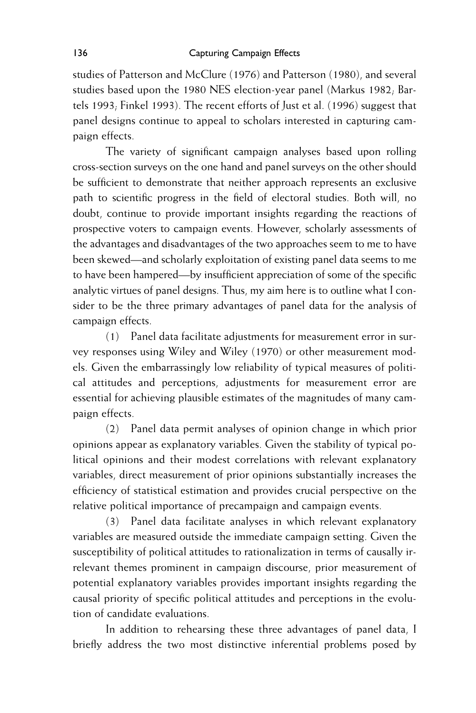studies of Patterson and McClure (1976) and Patterson (1980), and several studies based upon the 1980 NES election-year panel (Markus 1982; Bartels 1993; Finkel 1993). The recent efforts of Just et al. (1996) suggest that panel designs continue to appeal to scholars interested in capturing campaign effects.

The variety of significant campaign analyses based upon rolling cross-section surveys on the one hand and panel surveys on the other should be sufficient to demonstrate that neither approach represents an exclusive path to scientific progress in the field of electoral studies. Both will, no doubt, continue to provide important insights regarding the reactions of prospective voters to campaign events. However, scholarly assessments of the advantages and disadvantages of the two approaches seem to me to have been skewed—and scholarly exploitation of existing panel data seems to me to have been hampered—by insufficient appreciation of some of the specific analytic virtues of panel designs. Thus, my aim here is to outline what I consider to be the three primary advantages of panel data for the analysis of campaign effects.

(1) Panel data facilitate adjustments for measurement error in survey responses using Wiley and Wiley (1970) or other measurement models. Given the embarrassingly low reliability of typical measures of political attitudes and perceptions, adjustments for measurement error are essential for achieving plausible estimates of the magnitudes of many campaign effects.

(2) Panel data permit analyses of opinion change in which prior opinions appear as explanatory variables. Given the stability of typical political opinions and their modest correlations with relevant explanatory variables, direct measurement of prior opinions substantially increases the efficiency of statistical estimation and provides crucial perspective on the relative political importance of precampaign and campaign events.

(3) Panel data facilitate analyses in which relevant explanatory variables are measured outside the immediate campaign setting. Given the susceptibility of political attitudes to rationalization in terms of causally irrelevant themes prominent in campaign discourse, prior measurement of potential explanatory variables provides important insights regarding the causal priority of specific political attitudes and perceptions in the evolution of candidate evaluations.

In addition to rehearsing these three advantages of panel data, I briefly address the two most distinctive inferential problems posed by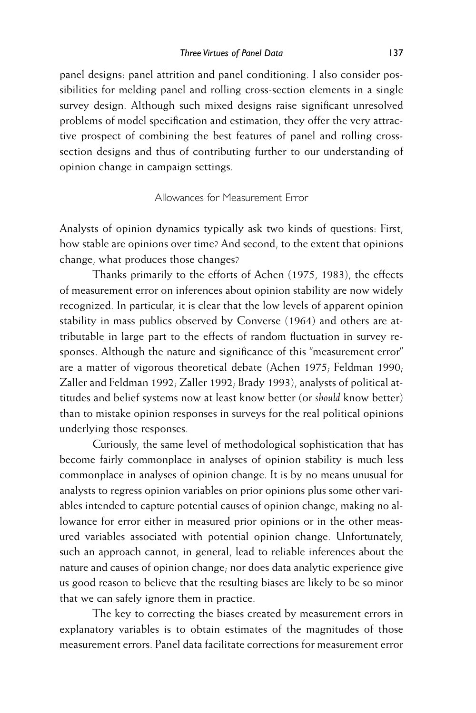panel designs: panel attrition and panel conditioning. I also consider possibilities for melding panel and rolling cross-section elements in a single survey design. Although such mixed designs raise significant unresolved problems of model specification and estimation, they offer the very attractive prospect of combining the best features of panel and rolling crosssection designs and thus of contributing further to our understanding of opinion change in campaign settings.

#### Allowances for Measurement Error

Analysts of opinion dynamics typically ask two kinds of questions: First, how stable are opinions over time? And second, to the extent that opinions change, what produces those changes?

Thanks primarily to the efforts of Achen (1975, 1983), the effects of measurement error on inferences about opinion stability are now widely recognized. In particular, it is clear that the low levels of apparent opinion stability in mass publics observed by Converse (1964) and others are attributable in large part to the effects of random fluctuation in survey responses. Although the nature and significance of this "measurement error" are a matter of vigorous theoretical debate (Achen 1975; Feldman 1990; Zaller and Feldman 1992; Zaller 1992; Brady 1993), analysts of political attitudes and belief systems now at least know better (or *should* know better) than to mistake opinion responses in surveys for the real political opinions underlying those responses.

Curiously, the same level of methodological sophistication that has become fairly commonplace in analyses of opinion stability is much less commonplace in analyses of opinion change. It is by no means unusual for analysts to regress opinion variables on prior opinions plus some other variables intended to capture potential causes of opinion change, making no allowance for error either in measured prior opinions or in the other measured variables associated with potential opinion change. Unfortunately, such an approach cannot, in general, lead to reliable inferences about the nature and causes of opinion change; nor does data analytic experience give us good reason to believe that the resulting biases are likely to be so minor that we can safely ignore them in practice.

The key to correcting the biases created by measurement errors in explanatory variables is to obtain estimates of the magnitudes of those measurement errors. Panel data facilitate corrections for measurement error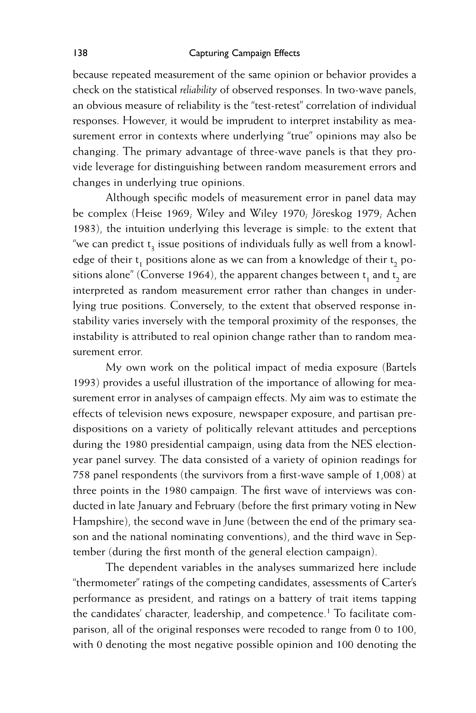because repeated measurement of the same opinion or behavior provides a check on the statistical *reliability* of observed responses. In two-wave panels, an obvious measure of reliability is the "test-retest" correlation of individual responses. However, it would be imprudent to interpret instability as measurement error in contexts where underlying "true" opinions may also be changing. The primary advantage of three-wave panels is that they provide leverage for distinguishing between random measurement errors and changes in underlying true opinions.

Although specific models of measurement error in panel data may be complex (Heise 1969; Wiley and Wiley 1970; Jöreskog 1979; Achen 1983), the intuition underlying this leverage is simple: to the extent that "we can predict  $t_3$  issue positions of individuals fully as well from a knowledge of their  $t_1$  positions alone as we can from a knowledge of their  $t_2$  positions alone" (Converse 1964), the apparent changes between  $t_1$  and  $t_2$  are interpreted as random measurement error rather than changes in underlying true positions. Conversely, to the extent that observed response instability varies inversely with the temporal proximity of the responses, the instability is attributed to real opinion change rather than to random measurement error.

My own work on the political impact of media exposure (Bartels 1993) provides a useful illustration of the importance of allowing for measurement error in analyses of campaign effects. My aim was to estimate the effects of television news exposure, newspaper exposure, and partisan predispositions on a variety of politically relevant attitudes and perceptions during the 1980 presidential campaign, using data from the NES electionyear panel survey. The data consisted of a variety of opinion readings for 758 panel respondents (the survivors from a first-wave sample of  $1,008$ ) at three points in the 1980 campaign. The first wave of interviews was conducted in late January and February (before the first primary voting in New Hampshire), the second wave in June (between the end of the primary season and the national nominating conventions), and the third wave in September (during the first month of the general election campaign).

The dependent variables in the analyses summarized here include "thermometer" ratings of the competing candidates, assessments of Carter's performance as president, and ratings on a battery of trait items tapping the candidates' character, leadership, and competence.<sup>1</sup> To facilitate comparison, all of the original responses were recoded to range from 0 to 100, with 0 denoting the most negative possible opinion and 100 denoting the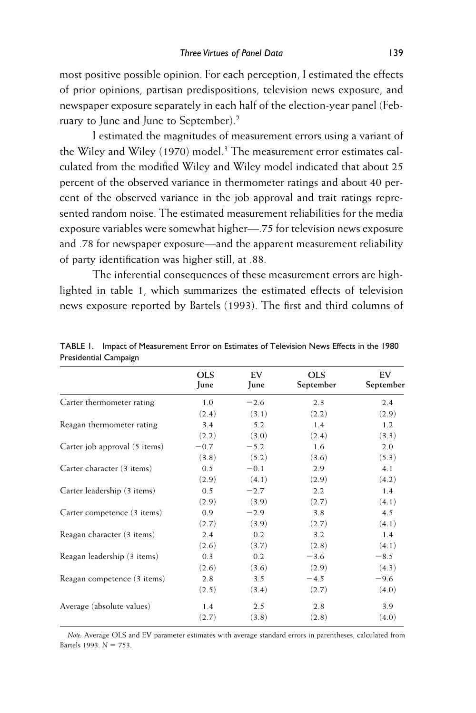most positive possible opinion. For each perception, I estimated the effects of prior opinions, partisan predispositions, television news exposure, and newspaper exposure separately in each half of the election-year panel (February to June and June to September).<sup>2</sup>

I estimated the magnitudes of measurement errors using a variant of the Wiley and Wiley (1970) model.<sup>3</sup> The measurement error estimates calculated from the modified Wiley and Wiley model indicated that about 25 percent of the observed variance in thermometer ratings and about 40 percent of the observed variance in the job approval and trait ratings represented random noise. The estimated measurement reliabilities for the media exposure variables were somewhat higher—.75 for television news exposure and .78 for newspaper exposure—and the apparent measurement reliability of party identification was higher still, at .88.

The inferential consequences of these measurement errors are highlighted in table 1, which summarizes the estimated effects of television news exposure reported by Bartels (1993). The first and third columns of

|                               | <b>OLS</b><br>June | EV<br>June | <b>OLS</b><br>September | EV<br>September |
|-------------------------------|--------------------|------------|-------------------------|-----------------|
| Carter thermometer rating     | 1.0                | $-2.6$     | 2.3                     | 2.4             |
|                               | (2.4)              | (3.1)      | (2.2)                   | (2.9)           |
| Reagan thermometer rating     | 3.4                | 5.2        | 1.4                     | 1.2             |
|                               | (2.2)              | (3.0)      | (2.4)                   | (3.3)           |
| Carter job approval (5 items) | $-0.7$             | $-5.2$     | 1.6                     | 2.0             |
|                               | (3.8)              | (5.2)      | (3.6)                   | (5.3)           |
| Carter character (3 items)    | 0.5                | $-0.1$     | 2.9                     | 4.1             |
|                               | (2.9)              | (4.1)      | (2.9)                   | (4.2)           |
| Carter leadership (3 items)   | 0.5                | $-2.7$     | 2.2                     | 1.4             |
|                               | (2.9)              | (3.9)      | (2.7)                   | (4.1)           |
| Carter competence (3 items)   | 0.9                | $-2.9$     | 3.8                     | 4.5             |
|                               | (2.7)              | (3.9)      | (2.7)                   | (4.1)           |
| Reagan character (3 items)    | 2.4                | 0.2        | 3.2                     | 1.4             |
|                               | (2.6)              | (3.7)      | (2.8)                   | (4.1)           |
| Reagan leadership (3 items)   | 0.3                | 0.2        | $-3.6$                  | $-8.5$          |
|                               | (2.6)              | (3.6)      | (2.9)                   | (4.3)           |
| Reagan competence (3 items)   | 2.8                | 3.5        | $-4.5$                  | $-9.6$          |
|                               | (2.5)              | (3.4)      | (2.7)                   | (4.0)           |
| Average (absolute values)     | 1.4                | 2.5        | 2.8                     | 3.9             |
|                               | (2.7)              | (3.8)      | (2.8)                   | (4.0)           |

TABLE 1. Impact of Measurement Error on Estimates of Television News Effects in the 1980 Presidential Campaign

*Note:* Average OLS and EV parameter estimates with average standard errors in parentheses, calculated from  $Bartels$  1993.  $N = 753$ .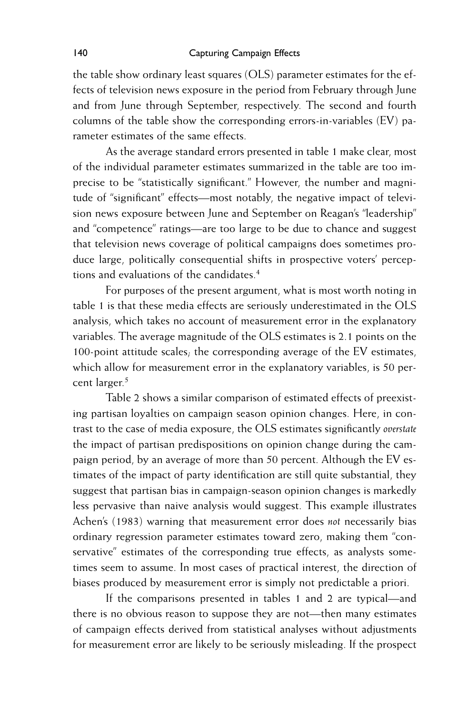the table show ordinary least squares (OLS) parameter estimates for the effects of television news exposure in the period from February through June and from June through September, respectively. The second and fourth columns of the table show the corresponding errors-in-variables (EV) parameter estimates of the same effects.

As the average standard errors presented in table 1 make clear, most of the individual parameter estimates summarized in the table are too imprecise to be "statistically significant." However, the number and magnitude of "significant" effects—most notably, the negative impact of television news exposure between June and September on Reagan's "leadership" and "competence" ratings—are too large to be due to chance and suggest that television news coverage of political campaigns does sometimes produce large, politically consequential shifts in prospective voters' perceptions and evaluations of the candidates.<sup>4</sup>

For purposes of the present argument, what is most worth noting in table 1 is that these media effects are seriously underestimated in the OLS analysis, which takes no account of measurement error in the explanatory variables. The average magnitude of the OLS estimates is 2.1 points on the 100-point attitude scales; the corresponding average of the EV estimates, which allow for measurement error in the explanatory variables, is 50 percent larger.<sup>5</sup>

Table 2 shows a similar comparison of estimated effects of preexisting partisan loyalties on campaign season opinion changes. Here, in contrast to the case of media exposure, the OLS estimates significantly *overstate* the impact of partisan predispositions on opinion change during the campaign period, by an average of more than 50 percent. Although the EV estimates of the impact of party identification are still quite substantial, they suggest that partisan bias in campaign-season opinion changes is markedly less pervasive than naive analysis would suggest. This example illustrates Achen's (1983) warning that measurement error does *not* necessarily bias ordinary regression parameter estimates toward zero, making them "conservative" estimates of the corresponding true effects, as analysts sometimes seem to assume. In most cases of practical interest, the direction of biases produced by measurement error is simply not predictable a priori.

If the comparisons presented in tables 1 and 2 are typical—and there is no obvious reason to suppose they are not—then many estimates of campaign effects derived from statistical analyses without adjustments for measurement error are likely to be seriously misleading. If the prospect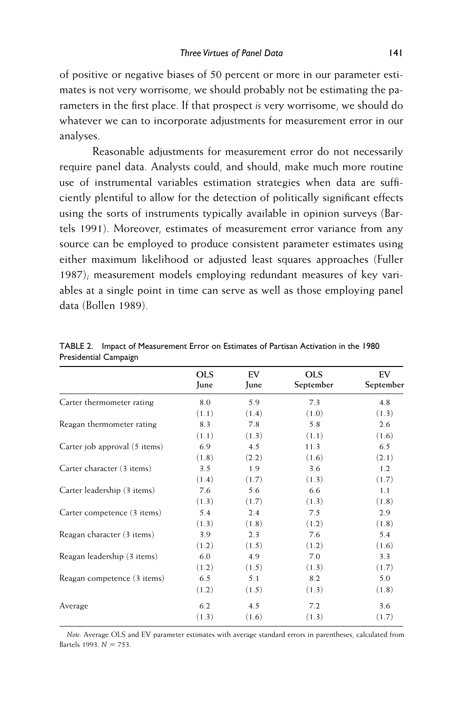of positive or negative biases of 50 percent or more in our parameter estimates is not very worrisome, we should probably not be estimating the parameters in the first place. If that prospect *is* very worrisome, we should do whatever we can to incorporate adjustments for measurement error in our analyses.

Reasonable adjustments for measurement error do not necessarily require panel data. Analysts could, and should, make much more routine use of instrumental variables estimation strategies when data are sufficiently plentiful to allow for the detection of politically significant effects using the sorts of instruments typically available in opinion surveys (Bartels 1991). Moreover, estimates of measurement error variance from any source can be employed to produce consistent parameter estimates using either maximum likelihood or adjusted least squares approaches (Fuller 1987); measurement models employing redundant measures of key variables at a single point in time can serve as well as those employing panel data (Bollen 1989).

|                               | <b>OLS</b><br>June | EV<br>June | <b>OLS</b><br>September | EV<br>September |
|-------------------------------|--------------------|------------|-------------------------|-----------------|
| Carter thermometer rating     | 8.0                | 5.9        | 7.3                     | 4.8             |
|                               | (1.1)              | (1.4)      | (1.0)                   | (1.3)           |
| Reagan thermometer rating     | 8.3                | 7.8        | 5.8                     | 2.6             |
|                               | (1.1)              | (1.3)      | (1.1)                   | (1.6)           |
| Carter job approval (5 items) | 6.9                | 4.5        | 11.3                    | 6.5             |
|                               | (1.8)              | (2.2)      | (1.6)                   | (2.1)           |
| Carter character (3 items)    | 3.5                | 1.9        | 3.6                     | 1.2             |
|                               | (1.4)              | (1.7)      | (1.3)                   | (1.7)           |
| Carter leadership (3 items)   | 7.6                | 5.6        | 6.6                     | 1.1             |
|                               | (1.3)              | (1.7)      | (1.3)                   | (1.8)           |
| Carter competence (3 items)   | 5.4                | 2.4        | 7.5                     | 2.9             |
|                               | (1.3)              | (1.8)      | (1.2)                   | (1.8)           |
| Reagan character (3 items)    | 3.9                | 2.3        | 7.6                     | 5.4             |
|                               | (1.2)              | (1.5)      | (1.2)                   | (1.6)           |
| Reagan leadership (3 items)   | 6.0                | 4.9        | 7.0                     | 3.3             |
|                               | (1.2)              | (1.5)      | (1.3)                   | (1.7)           |
| Reagan competence (3 items)   | 6.5                | 5.1        | 8.2                     | 5.0             |
|                               | (1.2)              | (1.5)      | (1.3)                   | (1.8)           |
| Average                       | 6.2                | 4.5        | 7.2                     | 3.6             |
|                               | (1.3)              | (1.6)      | (1.3)                   | (1.7)           |

TABLE 2. Impact of Measurement Error on Estimates of Partisan Activation in the 1980 Presidential Campaign

*Note:* Average OLS and EV parameter estimates with average standard errors in parentheses, calculated from  $Bartels$  1993.  $N = 753$ .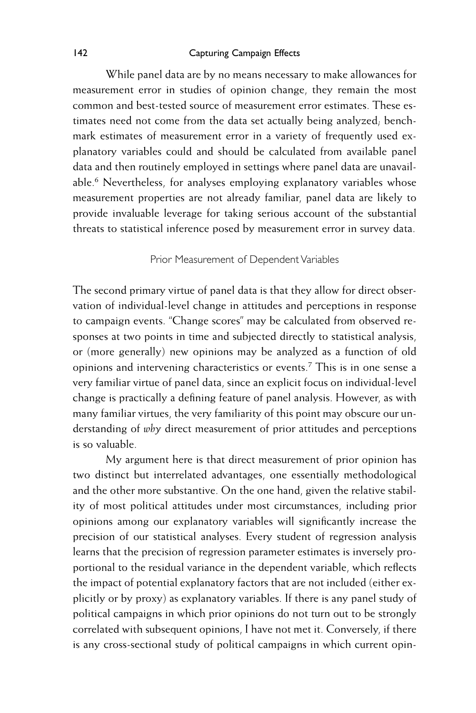While panel data are by no means necessary to make allowances for measurement error in studies of opinion change, they remain the most common and best-tested source of measurement error estimates. These estimates need not come from the data set actually being analyzed; benchmark estimates of measurement error in a variety of frequently used explanatory variables could and should be calculated from available panel data and then routinely employed in settings where panel data are unavailable.<sup>6</sup> Nevertheless, for analyses employing explanatory variables whose measurement properties are not already familiar, panel data are likely to provide invaluable leverage for taking serious account of the substantial threats to statistical inference posed by measurement error in survey data.

# Prior Measurement of Dependent Variables

The second primary virtue of panel data is that they allow for direct observation of individual-level change in attitudes and perceptions in response to campaign events. "Change scores" may be calculated from observed responses at two points in time and subjected directly to statistical analysis, or (more generally) new opinions may be analyzed as a function of old opinions and intervening characteristics or events.7 This is in one sense a very familiar virtue of panel data, since an explicit focus on individual-level change is practically a defining feature of panel analysis. However, as with many familiar virtues, the very familiarity of this point may obscure our understanding of *why* direct measurement of prior attitudes and perceptions is so valuable.

My argument here is that direct measurement of prior opinion has two distinct but interrelated advantages, one essentially methodological and the other more substantive. On the one hand, given the relative stability of most political attitudes under most circumstances, including prior opinions among our explanatory variables will significantly increase the precision of our statistical analyses. Every student of regression analysis learns that the precision of regression parameter estimates is inversely proportional to the residual variance in the dependent variable, which reflects the impact of potential explanatory factors that are not included (either explicitly or by proxy) as explanatory variables. If there is any panel study of political campaigns in which prior opinions do not turn out to be strongly correlated with subsequent opinions, I have not met it. Conversely, if there is any cross-sectional study of political campaigns in which current opin-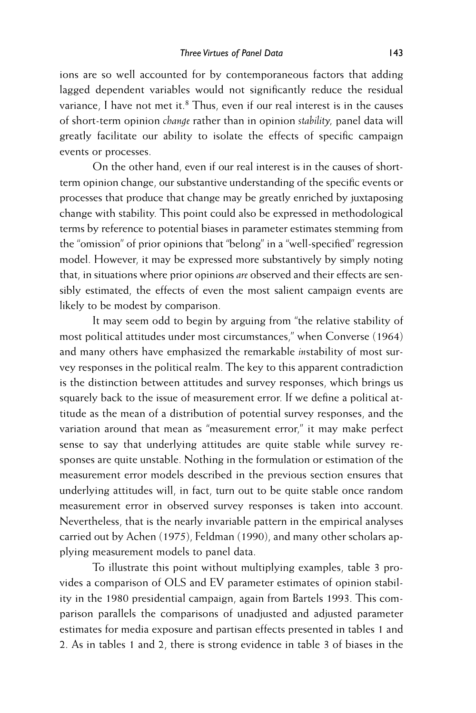ions are so well accounted for by contemporaneous factors that adding lagged dependent variables would not significantly reduce the residual variance, I have not met it.<sup>8</sup> Thus, even if our real interest is in the causes of short-term opinion *change* rather than in opinion *stability,* panel data will greatly facilitate our ability to isolate the effects of specific campaign events or processes.

On the other hand, even if our real interest is in the causes of shortterm opinion change, our substantive understanding of the specific events or processes that produce that change may be greatly enriched by juxtaposing change with stability. This point could also be expressed in methodological terms by reference to potential biases in parameter estimates stemming from the "omission" of prior opinions that "belong" in a "well-specified" regression model. However, it may be expressed more substantively by simply noting that, in situations where prior opinions *are* observed and their effects are sensibly estimated, the effects of even the most salient campaign events are likely to be modest by comparison.

It may seem odd to begin by arguing from "the relative stability of most political attitudes under most circumstances," when Converse (1964) and many others have emphasized the remarkable *in*stability of most survey responses in the political realm. The key to this apparent contradiction is the distinction between attitudes and survey responses, which brings us squarely back to the issue of measurement error. If we define a political attitude as the mean of a distribution of potential survey responses, and the variation around that mean as "measurement error," it may make perfect sense to say that underlying attitudes are quite stable while survey responses are quite unstable. Nothing in the formulation or estimation of the measurement error models described in the previous section ensures that underlying attitudes will, in fact, turn out to be quite stable once random measurement error in observed survey responses is taken into account. Nevertheless, that is the nearly invariable pattern in the empirical analyses carried out by Achen (1975), Feldman (1990), and many other scholars applying measurement models to panel data.

To illustrate this point without multiplying examples, table 3 provides a comparison of OLS and EV parameter estimates of opinion stability in the 1980 presidential campaign, again from Bartels 1993. This comparison parallels the comparisons of unadjusted and adjusted parameter estimates for media exposure and partisan effects presented in tables 1 and 2. As in tables 1 and 2, there is strong evidence in table 3 of biases in the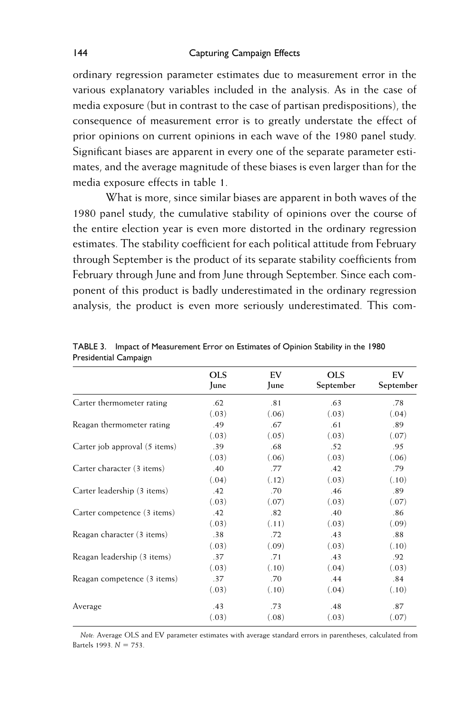ordinary regression parameter estimates due to measurement error in the various explanatory variables included in the analysis. As in the case of media exposure (but in contrast to the case of partisan predispositions), the consequence of measurement error is to greatly understate the effect of prior opinions on current opinions in each wave of the 1980 panel study. Significant biases are apparent in every one of the separate parameter estimates, and the average magnitude of these biases is even larger than for the media exposure effects in table 1.

What is more, since similar biases are apparent in both waves of the 1980 panel study, the cumulative stability of opinions over the course of the entire election year is even more distorted in the ordinary regression estimates. The stability coefficient for each political attitude from February through September is the product of its separate stability coefficients from February through June and from June through September. Since each component of this product is badly underestimated in the ordinary regression analysis, the product is even more seriously underestimated. This com-

|                               | <b>OLS</b><br>June | EV<br>June | <b>OLS</b><br>September | EV<br>September |
|-------------------------------|--------------------|------------|-------------------------|-----------------|
| Carter thermometer rating     | .62                | .81        | .63                     | .78             |
|                               | (.03)              | (.06)      | (.03)                   | (.04)           |
| Reagan thermometer rating     | .49                | .67        | .61                     | .89             |
|                               | (.03)              | (.05)      | (.03)                   | (.07)           |
| Carter job approval (5 items) | .39                | .68        | .52                     | .95             |
|                               | (.03)              | (.06)      | (.03)                   | (.06)           |
| Carter character (3 items)    | .40                | .77        | .42                     | .79             |
|                               | (.04)              | (.12)      | (.03)                   | (.10)           |
| Carter leadership (3 items)   | .42                | .70        | .46                     | .89             |
|                               | (.03)              | (.07)      | (.03)                   | (.07)           |
| Carter competence (3 items)   | .42                | .82        | .40                     | .86             |
|                               | (.03)              | (.11)      | (.03)                   | (.09)           |
| Reagan character (3 items)    | .38                | .72        | .43                     | .88             |
|                               | (.03)              | (.09)      | (.03)                   | (.10)           |
| Reagan leadership (3 items)   | .37                | .71        | .43                     | .92             |
|                               | (.03)              | (.10)      | (.04)                   | (.03)           |
| Reagan competence (3 items)   | .37                | .70        | .44                     | .84             |
|                               | (.03)              | (.10)      | (.04)                   | (.10)           |
| Average                       | .43                | .73        | .48                     | .87             |
|                               | (.03)              | (.08)      | (.03)                   | (.07)           |

TABLE 3. Impact of Measurement Error on Estimates of Opinion Stability in the 1980 Presidential Campaign

*Note:* Average OLS and EV parameter estimates with average standard errors in parentheses, calculated from  $B$ artels 1993.  $N = 753$ .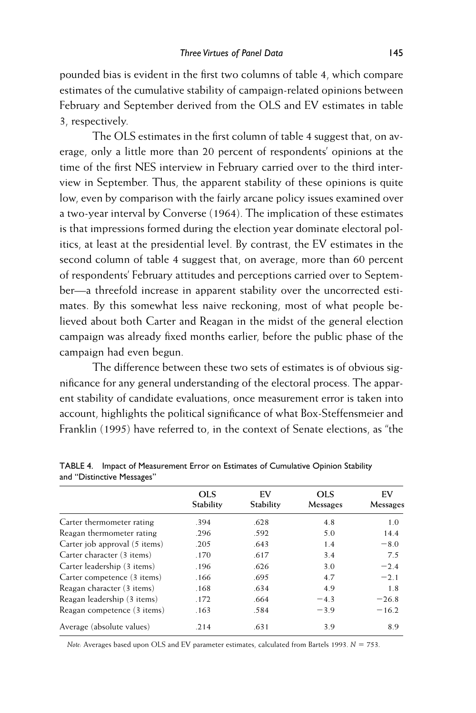pounded bias is evident in the first two columns of table 4, which compare estimates of the cumulative stability of campaign-related opinions between February and September derived from the OLS and EV estimates in table 3, respectively.

The OLS estimates in the first column of table 4 suggest that, on average, only a little more than 20 percent of respondents' opinions at the time of the first NES interview in February carried over to the third interview in September. Thus, the apparent stability of these opinions is quite low, even by comparison with the fairly arcane policy issues examined over a two-year interval by Converse (1964). The implication of these estimates is that impressions formed during the election year dominate electoral politics, at least at the presidential level. By contrast, the EV estimates in the second column of table 4 suggest that, on average, more than 60 percent of respondents' February attitudes and perceptions carried over to September—a threefold increase in apparent stability over the uncorrected estimates. By this somewhat less naive reckoning, most of what people believed about both Carter and Reagan in the midst of the general election campaign was already fixed months earlier, before the public phase of the campaign had even begun.

The difference between these two sets of estimates is of obvious significance for any general understanding of the electoral process. The apparent stability of candidate evaluations, once measurement error is taken into account, highlights the political significance of what Box-Steffensmeier and Franklin (1995) have referred to, in the context of Senate elections, as "the

|                               | <b>OLS</b><br><b>Stability</b> | EV<br>Stability | <b>OLS</b><br>Messages | EV<br>Messages |
|-------------------------------|--------------------------------|-----------------|------------------------|----------------|
| Carter thermometer rating     | .394                           | .628            | 4.8                    | 1.0            |
| Reagan thermometer rating     | .296                           | .592            | 5.0                    | 14.4           |
| Carter job approval (5 items) | .205                           | .643            | 1.4                    | $-8.0$         |
| Carter character (3 items)    | .170                           | .617            | 3.4                    | 7.5            |
| Carter leadership (3 items)   | .196                           | .626            | 3.0                    | $-2.4$         |
| Carter competence (3 items)   | .166                           | .695            | 4.7                    | $-2.1$         |
| Reagan character (3 items)    | .168                           | .634            | 4.9                    | 1.8            |
| Reagan leadership (3 items)   | .172                           | .664            | $-4.3$                 | $-26.8$        |
| Reagan competence (3 items)   | .163                           | .584            | $-3.9$                 | $-16.2$        |
| Average (absolute values)     | .214                           | .631            | 3.9                    | 8.9            |

TABLE 4. Impact of Measurement Error on Estimates of Cumulative Opinion Stability and "Distinctive Messages"

Note: Averages based upon OLS and EV parameter estimates, calculated from Bartels 1993. *N* = 753.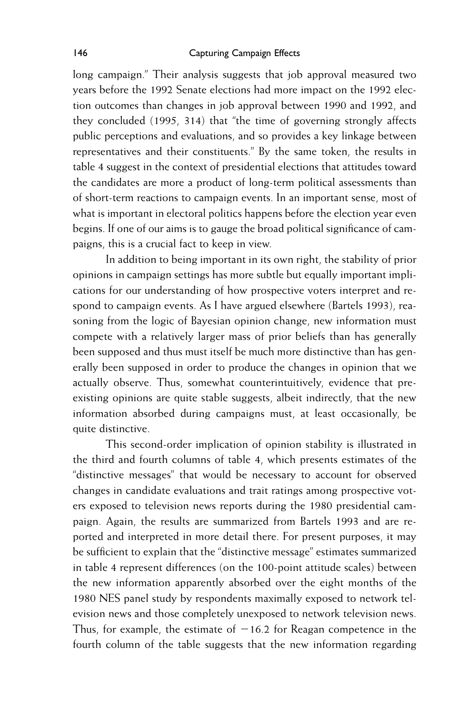long campaign." Their analysis suggests that job approval measured two years before the 1992 Senate elections had more impact on the 1992 election outcomes than changes in job approval between 1990 and 1992, and they concluded (1995, 314) that "the time of governing strongly affects public perceptions and evaluations, and so provides a key linkage between representatives and their constituents." By the same token, the results in table 4 suggest in the context of presidential elections that attitudes toward the candidates are more a product of long-term political assessments than of short-term reactions to campaign events. In an important sense, most of what is important in electoral politics happens before the election year even begins. If one of our aims is to gauge the broad political significance of campaigns, this is a crucial fact to keep in view.

In addition to being important in its own right, the stability of prior opinions in campaign settings has more subtle but equally important implications for our understanding of how prospective voters interpret and respond to campaign events. As I have argued elsewhere (Bartels 1993), reasoning from the logic of Bayesian opinion change, new information must compete with a relatively larger mass of prior beliefs than has generally been supposed and thus must itself be much more distinctive than has generally been supposed in order to produce the changes in opinion that we actually observe. Thus, somewhat counterintuitively, evidence that preexisting opinions are quite stable suggests, albeit indirectly, that the new information absorbed during campaigns must, at least occasionally, be quite distinctive.

This second-order implication of opinion stability is illustrated in the third and fourth columns of table 4, which presents estimates of the "distinctive messages" that would be necessary to account for observed changes in candidate evaluations and trait ratings among prospective voters exposed to television news reports during the 1980 presidential campaign. Again, the results are summarized from Bartels 1993 and are reported and interpreted in more detail there. For present purposes, it may be sufficient to explain that the "distinctive message" estimates summarized in table 4 represent differences (on the 100-point attitude scales) between the new information apparently absorbed over the eight months of the 1980 NES panel study by respondents maximally exposed to network television news and those completely unexposed to network television news. Thus, for example, the estimate of  $-16.2$  for Reagan competence in the fourth column of the table suggests that the new information regarding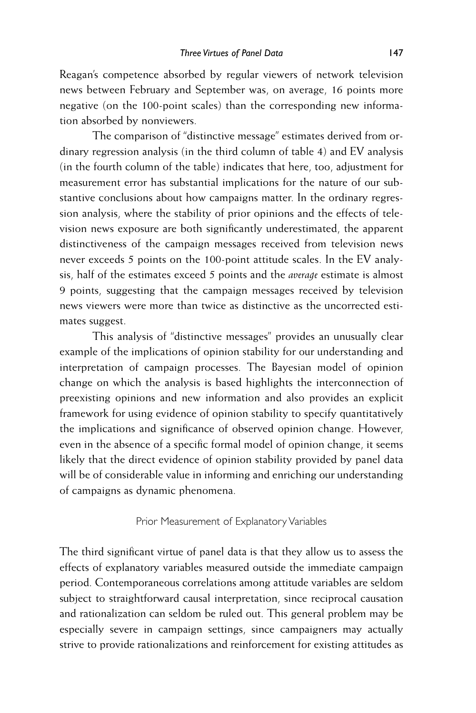Reagan's competence absorbed by regular viewers of network television news between February and September was, on average, 16 points more negative (on the 100-point scales) than the corresponding new information absorbed by nonviewers.

The comparison of "distinctive message" estimates derived from ordinary regression analysis (in the third column of table 4) and EV analysis (in the fourth column of the table) indicates that here, too, adjustment for measurement error has substantial implications for the nature of our substantive conclusions about how campaigns matter. In the ordinary regression analysis, where the stability of prior opinions and the effects of television news exposure are both significantly underestimated, the apparent distinctiveness of the campaign messages received from television news never exceeds 5 points on the 100-point attitude scales. In the EV analysis, half of the estimates exceed 5 points and the *average* estimate is almost 9 points, suggesting that the campaign messages received by television news viewers were more than twice as distinctive as the uncorrected estimates suggest.

This analysis of "distinctive messages" provides an unusually clear example of the implications of opinion stability for our understanding and interpretation of campaign processes. The Bayesian model of opinion change on which the analysis is based highlights the interconnection of preexisting opinions and new information and also provides an explicit framework for using evidence of opinion stability to specify quantitatively the implications and significance of observed opinion change. However, even in the absence of a specific formal model of opinion change, it seems likely that the direct evidence of opinion stability provided by panel data will be of considerable value in informing and enriching our understanding of campaigns as dynamic phenomena.

#### Prior Measurement of Explanatory Variables

The third significant virtue of panel data is that they allow us to assess the effects of explanatory variables measured outside the immediate campaign period. Contemporaneous correlations among attitude variables are seldom subject to straightforward causal interpretation, since reciprocal causation and rationalization can seldom be ruled out. This general problem may be especially severe in campaign settings, since campaigners may actually strive to provide rationalizations and reinforcement for existing attitudes as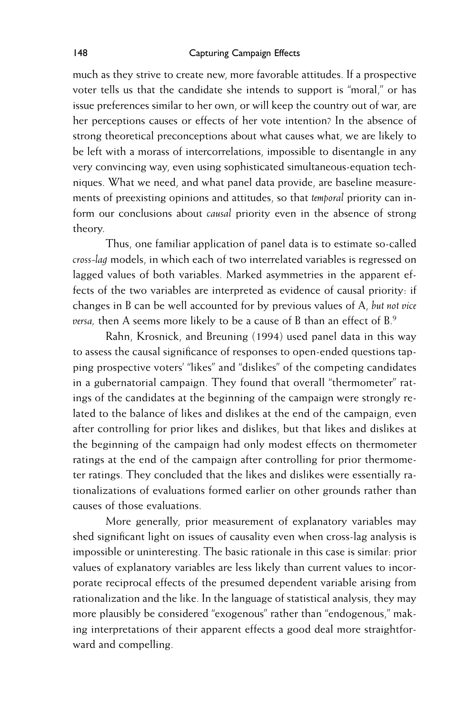much as they strive to create new, more favorable attitudes. If a prospective voter tells us that the candidate she intends to support is "moral," or has issue preferences similar to her own, or will keep the country out of war, are her perceptions causes or effects of her vote intention? In the absence of strong theoretical preconceptions about what causes what, we are likely to be left with a morass of intercorrelations, impossible to disentangle in any very convincing way, even using sophisticated simultaneous-equation techniques. What we need, and what panel data provide, are baseline measurements of preexisting opinions and attitudes, so that *temporal* priority can inform our conclusions about *causal* priority even in the absence of strong theory.

Thus, one familiar application of panel data is to estimate so-called *cross-lag* models, in which each of two interrelated variables is regressed on lagged values of both variables. Marked asymmetries in the apparent effects of the two variables are interpreted as evidence of causal priority: if changes in B can be well accounted for by previous values of A, *but not vice versa,* then A seems more likely to be a cause of B than an effect of B.9

Rahn, Krosnick, and Breuning (1994) used panel data in this way to assess the causal significance of responses to open-ended questions tapping prospective voters' "likes" and "dislikes" of the competing candidates in a gubernatorial campaign. They found that overall "thermometer" ratings of the candidates at the beginning of the campaign were strongly related to the balance of likes and dislikes at the end of the campaign, even after controlling for prior likes and dislikes, but that likes and dislikes at the beginning of the campaign had only modest effects on thermometer ratings at the end of the campaign after controlling for prior thermometer ratings. They concluded that the likes and dislikes were essentially rationalizations of evaluations formed earlier on other grounds rather than causes of those evaluations.

More generally, prior measurement of explanatory variables may shed significant light on issues of causality even when cross-lag analysis is impossible or uninteresting. The basic rationale in this case is similar: prior values of explanatory variables are less likely than current values to incorporate reciprocal effects of the presumed dependent variable arising from rationalization and the like. In the language of statistical analysis, they may more plausibly be considered "exogenous" rather than "endogenous," making interpretations of their apparent effects a good deal more straightforward and compelling.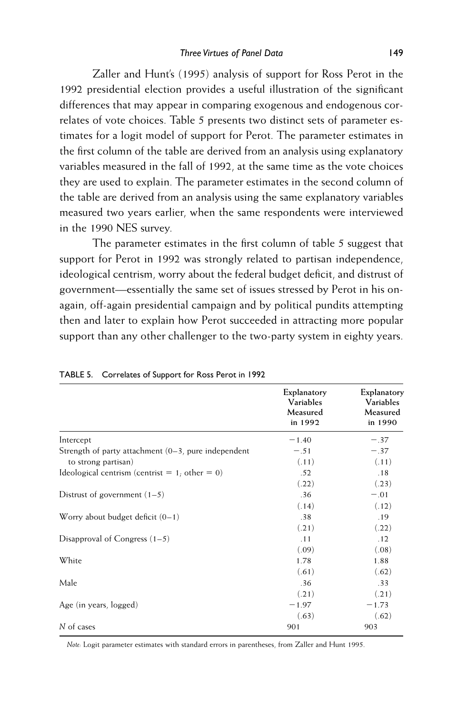Zaller and Hunt's (1995) analysis of support for Ross Perot in the 1992 presidential election provides a useful illustration of the significant differences that may appear in comparing exogenous and endogenous correlates of vote choices. Table 5 presents two distinct sets of parameter estimates for a logit model of support for Perot. The parameter estimates in the first column of the table are derived from an analysis using explanatory variables measured in the fall of 1992, at the same time as the vote choices they are used to explain. The parameter estimates in the second column of the table are derived from an analysis using the same explanatory variables measured two years earlier, when the same respondents were interviewed in the 1990 NES survey.

The parameter estimates in the first column of table 5 suggest that support for Perot in 1992 was strongly related to partisan independence, ideological centrism, worry about the federal budget deficit, and distrust of government—essentially the same set of issues stressed by Perot in his onagain, off-again presidential campaign and by political pundits attempting then and later to explain how Perot succeeded in attracting more popular support than any other challenger to the two-party system in eighty years.

|                                                         | Explanatory<br>Variables<br>Measured<br>in 1992 | Explanatory<br>Variables<br>Measured<br>in 1990 |
|---------------------------------------------------------|-------------------------------------------------|-------------------------------------------------|
| Intercept                                               | $-1.40$                                         | $-.37$                                          |
| Strength of party attachment $(0-3)$ , pure independent | $-.51$                                          | $-.37$                                          |
| to strong partisan)                                     | (.11)                                           | (.11)                                           |
| Ideological centrism (centrist = $1$ ; other = 0)       | .52                                             | .18                                             |
|                                                         | (.22)                                           | (.23)                                           |
| Distrust of government $(1-5)$                          | .36                                             | $-.01$                                          |
|                                                         | (.14)                                           | (.12)                                           |
| Worry about budget deficit $(0-1)$                      | .38                                             | .19                                             |
|                                                         | (.21)                                           | (.22)                                           |
| Disapproval of Congress $(1-5)$                         | .11                                             | .12                                             |
|                                                         | (.09)                                           | (.08)                                           |
| White                                                   | 1.78                                            | 1.88                                            |
|                                                         | (.61)                                           | (.62)                                           |
| Male                                                    | .36                                             | .33                                             |
|                                                         | (.21)                                           | (.21)                                           |
| Age (in years, logged)                                  | $-1.97$                                         | $-1.73$                                         |
|                                                         | (.63)                                           | (.62)                                           |
| N of cases                                              | 901                                             | 903                                             |

TABLE 5. Correlates of Support for Ross Perot in 1992

*Note:* Logit parameter estimates with standard errors in parentheses, from Zaller and Hunt 1995.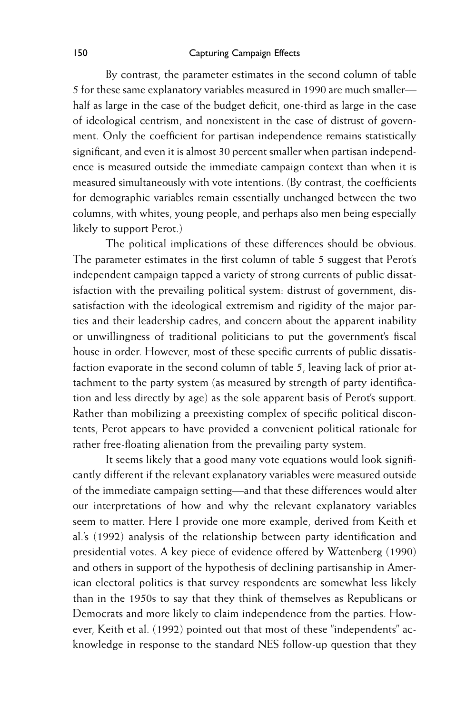By contrast, the parameter estimates in the second column of table 5 for these same explanatory variables measured in 1990 are much smaller half as large in the case of the budget deficit, one-third as large in the case of ideological centrism, and nonexistent in the case of distrust of government. Only the coefficient for partisan independence remains statistically significant, and even it is almost 30 percent smaller when partisan independence is measured outside the immediate campaign context than when it is measured simultaneously with vote intentions. (By contrast, the coefficients for demographic variables remain essentially unchanged between the two columns, with whites, young people, and perhaps also men being especially likely to support Perot.)

The political implications of these differences should be obvious. The parameter estimates in the first column of table 5 suggest that Perot's independent campaign tapped a variety of strong currents of public dissatisfaction with the prevailing political system: distrust of government, dissatisfaction with the ideological extremism and rigidity of the major parties and their leadership cadres, and concern about the apparent inability or unwillingness of traditional politicians to put the government's fiscal house in order. However, most of these specific currents of public dissatisfaction evaporate in the second column of table 5, leaving lack of prior attachment to the party system (as measured by strength of party identification and less directly by age) as the sole apparent basis of Perot's support. Rather than mobilizing a preexisting complex of specific political discontents, Perot appears to have provided a convenient political rationale for rather free-floating alienation from the prevailing party system.

It seems likely that a good many vote equations would look significantly different if the relevant explanatory variables were measured outside of the immediate campaign setting—and that these differences would alter our interpretations of how and why the relevant explanatory variables seem to matter. Here I provide one more example, derived from Keith et al.'s (1992) analysis of the relationship between party identification and presidential votes. A key piece of evidence offered by Wattenberg (1990) and others in support of the hypothesis of declining partisanship in American electoral politics is that survey respondents are somewhat less likely than in the 1950s to say that they think of themselves as Republicans or Democrats and more likely to claim independence from the parties. However, Keith et al. (1992) pointed out that most of these "independents" acknowledge in response to the standard NES follow-up question that they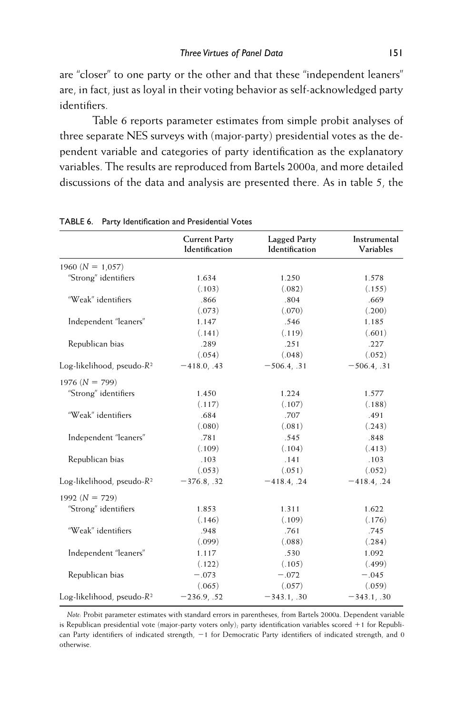are "closer" to one party or the other and that these "independent leaners" are, in fact, just as loyal in their voting behavior as self-acknowledged party identifiers.

Table 6 reports parameter estimates from simple probit analyses of three separate NES surveys with (major-party) presidential votes as the dependent variable and categories of party identification as the explanatory variables. The results are reproduced from Bartels 2000a, and more detailed discussions of the data and analysis are presented there. As in table 5, the

|                                       | <b>Current Party</b><br>Identification | <b>Lagged Party</b><br>Identification | Instrumental<br>Variables |
|---------------------------------------|----------------------------------------|---------------------------------------|---------------------------|
| 1960 ( $N = 1,057$ )                  |                                        |                                       |                           |
| "Strong" identifiers                  | 1.634                                  | 1.250                                 | 1.578                     |
|                                       | (.103)                                 | (.082)                                | (.155)                    |
| "Weak" identifiers                    | .866                                   | .804                                  | .669                      |
|                                       | (.073)                                 | (.070)                                | (.200)                    |
| Independent "leaners"                 | 1.147                                  | .546                                  | 1.185                     |
|                                       | (.141)                                 | (.119)                                | (.601)                    |
| Republican bias                       | .289                                   | .251                                  | .227                      |
|                                       | (.054)                                 | (.048)                                | (.052)                    |
| Log-likelihood, pseudo- $R^2$         | $-418.0, .43$                          | $-506.4, .31$                         | $-506.4, .31$             |
| $1976 (N = 799)$                      |                                        |                                       |                           |
| "Strong" identifiers                  | 1.450                                  | 1.224                                 | 1.577                     |
|                                       | (.117)                                 | (.107)                                | (.188)                    |
| "Weak" identifiers                    | .684                                   | .707                                  | .491                      |
|                                       | (.080)                                 | (.081)                                | (.243)                    |
| Independent "leaners"                 | .781                                   | .545                                  | .848                      |
|                                       | (.109)                                 | (.104)                                | (.413)                    |
| Republican bias                       | .103                                   | .141                                  | .103                      |
|                                       | (.053)                                 | (.051)                                | (.052)                    |
| Log-likelihood, pseudo-R <sup>2</sup> | $-376.8, .32$                          | $-418.4, .24$                         | $-418.4, .24$             |
| 1992 $(N = 729)$                      |                                        |                                       |                           |
| "Strong" identifiers                  | 1.853                                  | 1.311                                 | 1.622                     |
|                                       | (.146)                                 | (.109)                                | (.176)                    |
| "Weak" identifiers                    | .948                                   | .761                                  | .745                      |
|                                       | (.099)                                 | (.088)                                | (.284)                    |
| Independent "leaners"                 | 1.117                                  | .530                                  | 1.092                     |
|                                       | (.122)                                 | (.105)                                | (.499)                    |
| Republican bias                       | $-.073$                                | $-.072$                               | $-.045$                   |
|                                       | (.065)                                 | (.057)                                | (.059)                    |
| Log-likelihood, pseudo-R <sup>2</sup> | $-236.9, .52$                          | $-343.1, .30$                         | $-343.1, .30$             |

#### TABLE 6. Party Identification and Presidential Votes

*Note:* Probit parameter estimates with standard errors in parentheses, from Bartels 2000a. Dependent variable is Republican presidential vote (major-party voters only); party identification variables scored  $+1$  for Republican Party identifiers of indicated strength,  $-1$  for Democratic Party identifiers of indicated strength, and 0 otherwise.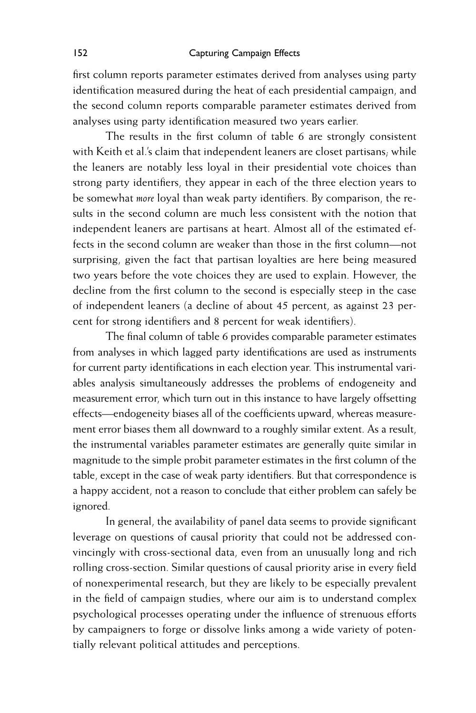first column reports parameter estimates derived from analyses using party identification measured during the heat of each presidential campaign, and the second column reports comparable parameter estimates derived from analyses using party identification measured two years earlier.

The results in the first column of table 6 are strongly consistent with Keith et al.'s claim that independent leaners are closet partisans; while the leaners are notably less loyal in their presidential vote choices than strong party identifiers, they appear in each of the three election years to be somewhat *more* loyal than weak party identifiers. By comparison, the results in the second column are much less consistent with the notion that independent leaners are partisans at heart. Almost all of the estimated effects in the second column are weaker than those in the first column—not surprising, given the fact that partisan loyalties are here being measured two years before the vote choices they are used to explain. However, the decline from the first column to the second is especially steep in the case of independent leaners (a decline of about 45 percent, as against 23 percent for strong identifiers and 8 percent for weak identifiers).

The final column of table 6 provides comparable parameter estimates from analyses in which lagged party identifications are used as instruments for current party identifications in each election year. This instrumental variables analysis simultaneously addresses the problems of endogeneity and measurement error, which turn out in this instance to have largely offsetting effects—endogeneity biases all of the coefficients upward, whereas measurement error biases them all downward to a roughly similar extent. As a result, the instrumental variables parameter estimates are generally quite similar in magnitude to the simple probit parameter estimates in the first column of the table, except in the case of weak party identifiers. But that correspondence is a happy accident, not a reason to conclude that either problem can safely be ignored.

In general, the availability of panel data seems to provide significant leverage on questions of causal priority that could not be addressed convincingly with cross-sectional data, even from an unusually long and rich rolling cross-section. Similar questions of causal priority arise in every field of nonexperimental research, but they are likely to be especially prevalent in the field of campaign studies, where our aim is to understand complex psychological processes operating under the influence of strenuous efforts by campaigners to forge or dissolve links among a wide variety of potentially relevant political attitudes and perceptions.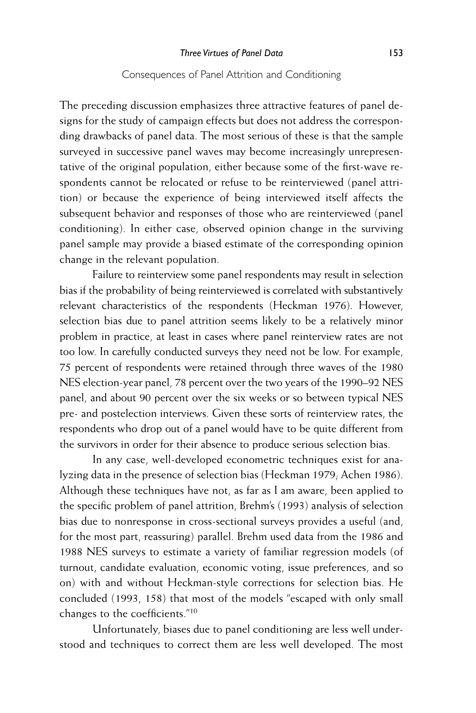# Consequences of Panel Attrition and Conditioning

The preceding discussion emphasizes three attractive features of panel designs for the study of campaign effects but does not address the corresponding drawbacks of panel data. The most serious of these is that the sample surveyed in successive panel waves may become increasingly unrepresentative of the original population, either because some of the first-wave respondents cannot be relocated or refuse to be reinterviewed (panel attrition) or because the experience of being interviewed itself affects the subsequent behavior and responses of those who are reinterviewed (panel conditioning). In either case, observed opinion change in the surviving panel sample may provide a biased estimate of the corresponding opinion change in the relevant population.

Failure to reinterview some panel respondents may result in selection bias if the probability of being reinterviewed is correlated with substantively relevant characteristics of the respondents (Heckman 1976). However, selection bias due to panel attrition seems likely to be a relatively minor problem in practice, at least in cases where panel reinterview rates are not too low. In carefully conducted surveys they need not be low. For example, 75 percent of respondents were retained through three waves of the 1980 NES election-year panel, 78 percent over the two years of the 1990–92 NES panel, and about 90 percent over the six weeks or so between typical NES pre- and postelection interviews. Given these sorts of reinterview rates, the respondents who drop out of a panel would have to be quite different from the survivors in order for their absence to produce serious selection bias.

In any case, well-developed econometric techniques exist for analyzing data in the presence of selection bias (Heckman 1979; Achen 1986). Although these techniques have not, as far as I am aware, been applied to the specific problem of panel attrition, Brehm's (1993) analysis of selection bias due to nonresponse in cross-sectional surveys provides a useful (and, for the most part, reassuring) parallel. Brehm used data from the 1986 and 1988 NES surveys to estimate a variety of familiar regression models (of turnout, candidate evaluation, economic voting, issue preferences, and so on) with and without Heckman-style corrections for selection bias. He concluded (1993, 158) that most of the models "escaped with only small changes to the coefficients."<sup>10</sup>

Unfortunately, biases due to panel conditioning are less well understood and techniques to correct them are less well developed. The most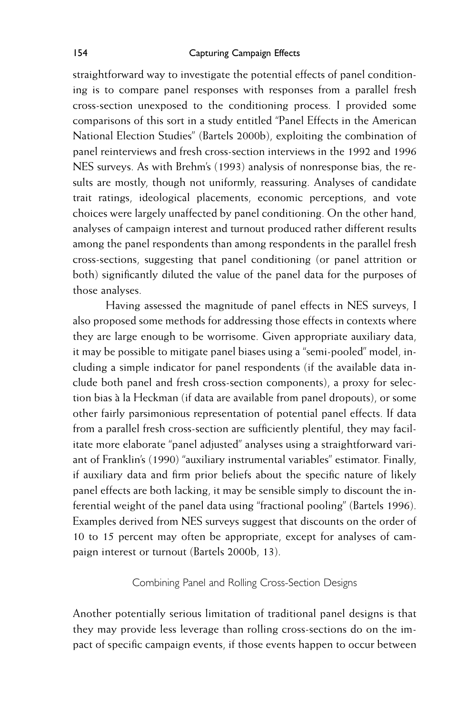straightforward way to investigate the potential effects of panel conditioning is to compare panel responses with responses from a parallel fresh cross-section unexposed to the conditioning process. I provided some comparisons of this sort in a study entitled "Panel Effects in the American National Election Studies" (Bartels 2000b), exploiting the combination of panel reinterviews and fresh cross-section interviews in the 1992 and 1996 NES surveys. As with Brehm's (1993) analysis of nonresponse bias, the results are mostly, though not uniformly, reassuring. Analyses of candidate trait ratings, ideological placements, economic perceptions, and vote choices were largely unaffected by panel conditioning. On the other hand, analyses of campaign interest and turnout produced rather different results among the panel respondents than among respondents in the parallel fresh cross-sections, suggesting that panel conditioning (or panel attrition or both) significantly diluted the value of the panel data for the purposes of those analyses.

Having assessed the magnitude of panel effects in NES surveys, I also proposed some methods for addressing those effects in contexts where they are large enough to be worrisome. Given appropriate auxiliary data, it may be possible to mitigate panel biases using a "semi-pooled" model, including a simple indicator for panel respondents (if the available data include both panel and fresh cross-section components), a proxy for selection bias à la Heckman (if data are available from panel dropouts), or some other fairly parsimonious representation of potential panel effects. If data from a parallel fresh cross-section are sufficiently plentiful, they may facilitate more elaborate "panel adjusted" analyses using a straightforward variant of Franklin's (1990) "auxiliary instrumental variables" estimator. Finally, if auxiliary data and firm prior beliefs about the specific nature of likely panel effects are both lacking, it may be sensible simply to discount the inferential weight of the panel data using "fractional pooling" (Bartels 1996). Examples derived from NES surveys suggest that discounts on the order of 10 to 15 percent may often be appropriate, except for analyses of campaign interest or turnout (Bartels 2000b, 13).

## Combining Panel and Rolling Cross-Section Designs

Another potentially serious limitation of traditional panel designs is that they may provide less leverage than rolling cross-sections do on the impact of specific campaign events, if those events happen to occur between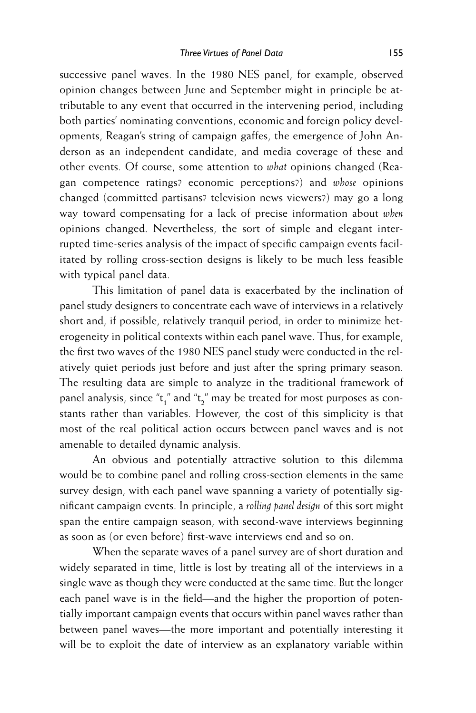successive panel waves. In the 1980 NES panel, for example, observed opinion changes between June and September might in principle be attributable to any event that occurred in the intervening period, including both parties' nominating conventions, economic and foreign policy developments, Reagan's string of campaign gaffes, the emergence of John Anderson as an independent candidate, and media coverage of these and other events. Of course, some attention to *what* opinions changed (Reagan competence ratings? economic perceptions?) and *whose* opinions changed (committed partisans? television news viewers?) may go a long way toward compensating for a lack of precise information about *when* opinions changed. Nevertheless, the sort of simple and elegant interrupted time-series analysis of the impact of specific campaign events facilitated by rolling cross-section designs is likely to be much less feasible with typical panel data.

This limitation of panel data is exacerbated by the inclination of panel study designers to concentrate each wave of interviews in a relatively short and, if possible, relatively tranquil period, in order to minimize heterogeneity in political contexts within each panel wave. Thus, for example, the first two waves of the 1980 NES panel study were conducted in the relatively quiet periods just before and just after the spring primary season. The resulting data are simple to analyze in the traditional framework of panel analysis, since "t<sub>1</sub>" and "t<sub>2</sub>" may be treated for most purposes as constants rather than variables. However, the cost of this simplicity is that most of the real political action occurs between panel waves and is not amenable to detailed dynamic analysis.

An obvious and potentially attractive solution to this dilemma would be to combine panel and rolling cross-section elements in the same survey design, with each panel wave spanning a variety of potentially significant campaign events. In principle, a *rolling panel design* of this sort might span the entire campaign season, with second-wave interviews beginning as soon as (or even before) first-wave interviews end and so on.

When the separate waves of a panel survey are of short duration and widely separated in time, little is lost by treating all of the interviews in a single wave as though they were conducted at the same time. But the longer each panel wave is in the field—and the higher the proportion of potentially important campaign events that occurs within panel waves rather than between panel waves—the more important and potentially interesting it will be to exploit the date of interview as an explanatory variable within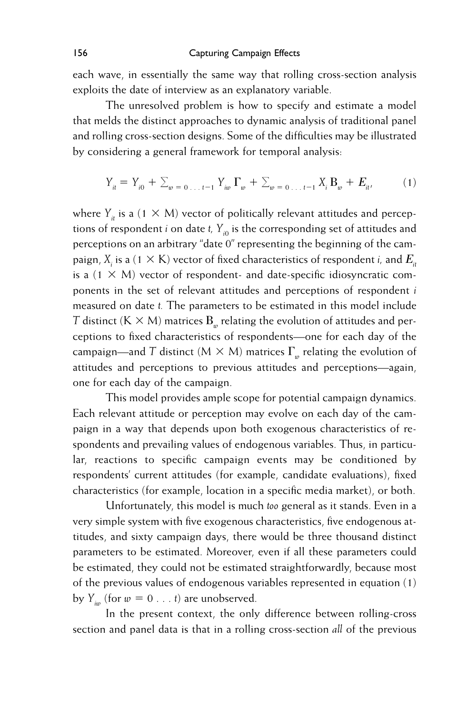each wave, in essentially the same way that rolling cross-section analysis exploits the date of interview as an explanatory variable.

The unresolved problem is how to specify and estimate a model that melds the distinct approaches to dynamic analysis of traditional panel and rolling cross-section designs. Some of the difficulties may be illustrated by considering a general framework for temporal analysis:

$$
Y_{it} = Y_{i0} + \sum_{w=0 \ldots t-1} Y_{iw} \Gamma_w + \sum_{w=0 \ldots t-1} X_i B_w + E_{it}
$$
 (1)

where  $Y_{it}$  is a (1  $\times$  M) vector of politically relevant attitudes and perceptions of respondent *i* on date *t*,  $Y_{i0}$  is the corresponding set of attitudes and perceptions on an arbitrary "date 0" representing the beginning of the campaign,  $X_{\vec{i}}$  is a (1  $\times$  K) vector of fixed characteristics of respondent *i*, and  $E_{\vec{i}}$ is a  $(1 \times M)$  vector of respondent- and date-specific idiosyncratic components in the set of relevant attitudes and perceptions of respondent *i* measured on date *t.* The parameters to be estimated in this model include  $T$  distinct (K  $\times$  M) matrices  $\text{B}_{_{w}}$  relating the evolution of attitudes and perceptions to fixed characteristics of respondents—one for each day of the campaign—and  $T$  distinct (M  $\times$  M) matrices  $\Gamma_{_w}$  relating the evolution of attitudes and perceptions to previous attitudes and perceptions—again, one for each day of the campaign.

This model provides ample scope for potential campaign dynamics. Each relevant attitude or perception may evolve on each day of the campaign in a way that depends upon both exogenous characteristics of respondents and prevailing values of endogenous variables. Thus, in particular, reactions to specific campaign events may be conditioned by respondents' current attitudes (for example, candidate evaluations), fixed characteristics (for example, location in a specific media market), or both.

Unfortunately, this model is much *too* general as it stands. Even in a very simple system with five exogenous characteristics, five endogenous attitudes, and sixty campaign days, there would be three thousand distinct parameters to be estimated. Moreover, even if all these parameters could be estimated, they could not be estimated straightforwardly, because most of the previous values of endogenous variables represented in equation (1) by  $Y_{iw}$  (for  $w = 0 \dots t$ ) are unobserved.

In the present context, the only difference between rolling-cross section and panel data is that in a rolling cross-section *all* of the previous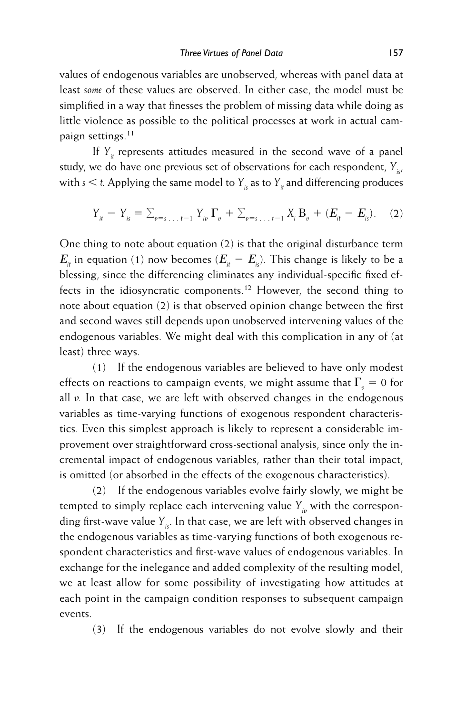values of endogenous variables are unobserved, whereas with panel data at least *some* of these values are observed. In either case, the model must be simplified in a way that finesses the problem of missing data while doing as little violence as possible to the political processes at work in actual campaign settings.<sup>11</sup>

If  $Y_{it}$  represents attitudes measured in the second wave of a panel study, we do have one previous set of observations for each respondent, *Yis*, with  $s < t$ . Applying the same model to  $Y_i$  as to  $Y_i$  and differencing produces

$$
Y_{it} - Y_{is} = \sum_{v=s \dots t-1} Y_{iv} \Gamma_v + \sum_{v=s \dots t-1} X_i B_v + (E_{it} - E_{is}).
$$
 (2)

One thing to note about equation (2) is that the original disturbance term  $E_{\mu}$  in equation (1) now becomes ( $E_{\mu} - E_{\mu}$ ). This change is likely to be a blessing, since the differencing eliminates any individual-specific fixed effects in the idiosyncratic components.12 However, the second thing to note about equation (2) is that observed opinion change between the first and second waves still depends upon unobserved intervening values of the endogenous variables. We might deal with this complication in any of (at least) three ways.

(1) If the endogenous variables are believed to have only modest effects on reactions to campaign events, we might assume that  $\Gamma_{\nu} = 0$  for all *v.* In that case, we are left with observed changes in the endogenous variables as time-varying functions of exogenous respondent characteristics. Even this simplest approach is likely to represent a considerable improvement over straightforward cross-sectional analysis, since only the incremental impact of endogenous variables, rather than their total impact, is omitted (or absorbed in the effects of the exogenous characteristics).

(2) If the endogenous variables evolve fairly slowly, we might be tempted to simply replace each intervening value  $Y_{i,p}$  with the corresponding first-wave value *Y<sub>is</sub>*. In that case, we are left with observed changes in the endogenous variables as time-varying functions of both exogenous respondent characteristics and first-wave values of endogenous variables. In exchange for the inelegance and added complexity of the resulting model, we at least allow for some possibility of investigating how attitudes at each point in the campaign condition responses to subsequent campaign events.

(3) If the endogenous variables do not evolve slowly and their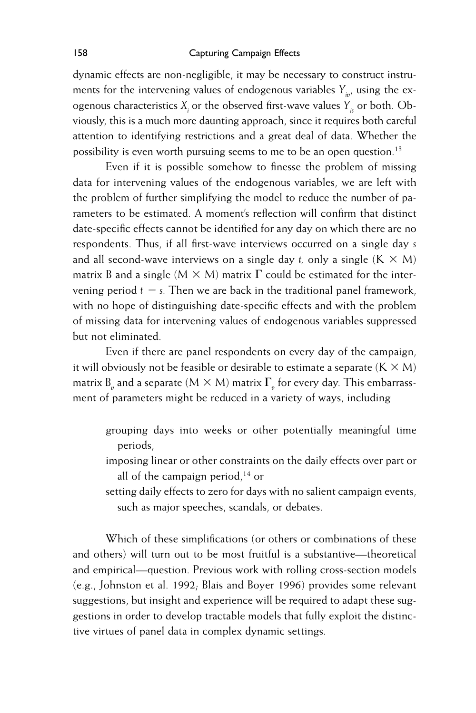dynamic effects are non-negligible, it may be necessary to construct instruments for the intervening values of endogenous variables  $Y_{i,j}$  using the exogenous characteristics  $X_i$  or the observed first-wave values  $Y_i$  or both. Obviously, this is a much more daunting approach, since it requires both careful attention to identifying restrictions and a great deal of data. Whether the possibility is even worth pursuing seems to me to be an open question.<sup>13</sup>

Even if it is possible somehow to finesse the problem of missing data for intervening values of the endogenous variables, we are left with the problem of further simplifying the model to reduce the number of parameters to be estimated. A moment's reflection will confirm that distinct date-specific effects cannot be identified for any day on which there are no respondents. Thus, if all first-wave interviews occurred on a single day s and all second-wave interviews on a single day *t*, only a single  $(K \times M)$ matrix B and a single (M  $\times$  M) matrix  $\Gamma$  could be estimated for the intervening period  $t - s$ . Then we are back in the traditional panel framework, with no hope of distinguishing date-specific effects and with the problem of missing data for intervening values of endogenous variables suppressed but not eliminated.

Even if there are panel respondents on every day of the campaign, it will obviously not be feasible or desirable to estimate a separate  $(K \times M)$ matrix  $\bm{\mathtt{B_o}}$  and a separate (M  $\times$  M) matrix  $\bm{\Gamma_v}$  for every day. This embarrassment of parameters might be reduced in a variety of ways, including

- grouping days into weeks or other potentially meaningful time periods,
- imposing linear or other constraints on the daily effects over part or all of the campaign period, $14$  or
- setting daily effects to zero for days with no salient campaign events, such as major speeches, scandals, or debates.

Which of these simplifications (or others or combinations of these and others) will turn out to be most fruitful is a substantive—theoretical and empirical—question. Previous work with rolling cross-section models (e.g., Johnston et al. 1992; Blais and Boyer 1996) provides some relevant suggestions, but insight and experience will be required to adapt these suggestions in order to develop tractable models that fully exploit the distinctive virtues of panel data in complex dynamic settings.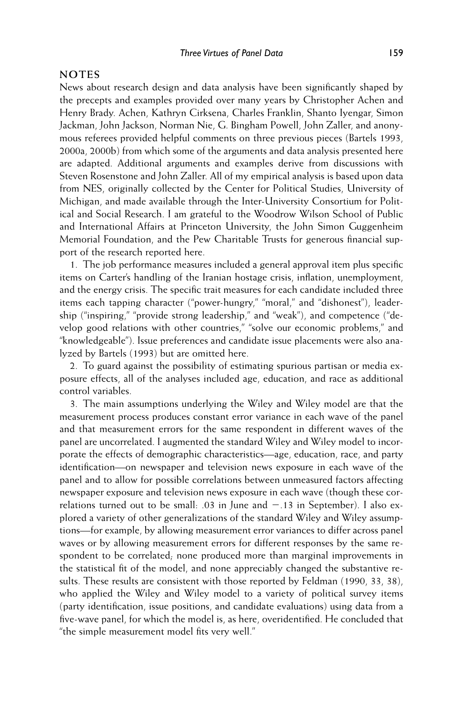#### **NOTES**

News about research design and data analysis have been significantly shaped by the precepts and examples provided over many years by Christopher Achen and Henry Brady. Achen, Kathryn Cirksena, Charles Franklin, Shanto Iyengar, Simon Jackman, John Jackson, Norman Nie, G. Bingham Powell, John Zaller, and anonymous referees provided helpful comments on three previous pieces (Bartels 1993, 2000a, 2000b) from which some of the arguments and data analysis presented here are adapted. Additional arguments and examples derive from discussions with Steven Rosenstone and John Zaller. All of my empirical analysis is based upon data from NES, originally collected by the Center for Political Studies, University of Michigan, and made available through the Inter-University Consortium for Political and Social Research. I am grateful to the Woodrow Wilson School of Public and International Affairs at Princeton University, the John Simon Guggenheim Memorial Foundation, and the Pew Charitable Trusts for generous financial support of the research reported here.

1. The job performance measures included a general approval item plus specific items on Carter's handling of the Iranian hostage crisis, inflation, unemployment, and the energy crisis. The specific trait measures for each candidate included three items each tapping character ("power-hungry," "moral," and "dishonest"), leadership ("inspiring," "provide strong leadership," and "weak"), and competence ("develop good relations with other countries," "solve our economic problems," and "knowledgeable"). Issue preferences and candidate issue placements were also analyzed by Bartels (1993) but are omitted here.

2. To guard against the possibility of estimating spurious partisan or media exposure effects, all of the analyses included age, education, and race as additional control variables.

3. The main assumptions underlying the Wiley and Wiley model are that the measurement process produces constant error variance in each wave of the panel and that measurement errors for the same respondent in different waves of the panel are uncorrelated. I augmented the standard Wiley and Wiley model to incorporate the effects of demographic characteristics—age, education, race, and party identification—on newspaper and television news exposure in each wave of the panel and to allow for possible correlations between unmeasured factors affecting newspaper exposure and television news exposure in each wave (though these correlations turned out to be small: .03 in June and  $-.13$  in September). I also explored a variety of other generalizations of the standard Wiley and Wiley assumptions—for example, by allowing measurement error variances to differ across panel waves or by allowing measurement errors for different responses by the same respondent to be correlated; none produced more than marginal improvements in the statistical fit of the model, and none appreciably changed the substantive results. These results are consistent with those reported by Feldman (1990, 33, 38), who applied the Wiley and Wiley model to a variety of political survey items (party identification, issue positions, and candidate evaluations) using data from a five-wave panel, for which the model is, as here, overidentified. He concluded that "the simple measurement model fits very well."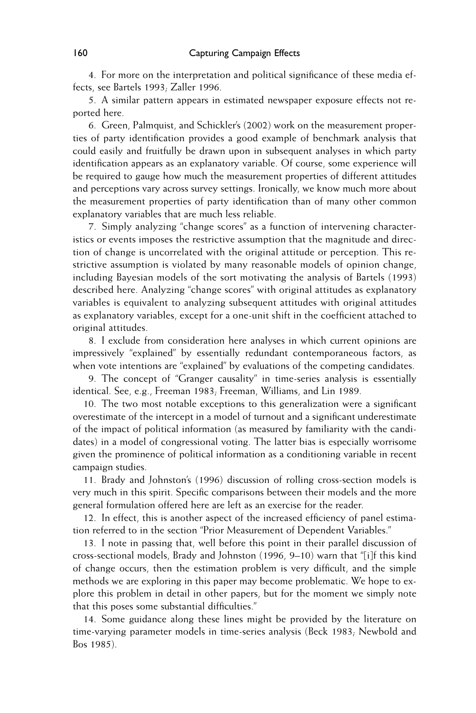4. For more on the interpretation and political significance of these media effects, see Bartels 1993; Zaller 1996.

5. A similar pattern appears in estimated newspaper exposure effects not reported here.

6. Green, Palmquist, and Schickler's (2002) work on the measurement properties of party identification provides a good example of benchmark analysis that could easily and fruitfully be drawn upon in subsequent analyses in which party identification appears as an explanatory variable. Of course, some experience will be required to gauge how much the measurement properties of different attitudes and perceptions vary across survey settings. Ironically, we know much more about the measurement properties of party identification than of many other common explanatory variables that are much less reliable.

7. Simply analyzing "change scores" as a function of intervening characteristics or events imposes the restrictive assumption that the magnitude and direction of change is uncorrelated with the original attitude or perception. This restrictive assumption is violated by many reasonable models of opinion change, including Bayesian models of the sort motivating the analysis of Bartels (1993) described here. Analyzing "change scores" with original attitudes as explanatory variables is equivalent to analyzing subsequent attitudes with original attitudes as explanatory variables, except for a one-unit shift in the coefficient attached to original attitudes.

8. I exclude from consideration here analyses in which current opinions are impressively "explained" by essentially redundant contemporaneous factors, as when vote intentions are "explained" by evaluations of the competing candidates.

9. The concept of "Granger causality" in time-series analysis is essentially identical. See, e.g., Freeman 1983; Freeman, Williams, and Lin 1989.

10. The two most notable exceptions to this generalization were a significant overestimate of the intercept in a model of turnout and a significant underestimate of the impact of political information (as measured by familiarity with the candidates) in a model of congressional voting. The latter bias is especially worrisome given the prominence of political information as a conditioning variable in recent campaign studies.

11. Brady and Johnston's (1996) discussion of rolling cross-section models is very much in this spirit. Specific comparisons between their models and the more general formulation offered here are left as an exercise for the reader.

12. In effect, this is another aspect of the increased efficiency of panel estimation referred to in the section "Prior Measurement of Dependent Variables."

13. I note in passing that, well before this point in their parallel discussion of cross-sectional models, Brady and Johnston (1996, 9–10) warn that "[i]f this kind of change occurs, then the estimation problem is very difficult, and the simple methods we are exploring in this paper may become problematic. We hope to explore this problem in detail in other papers, but for the moment we simply note that this poses some substantial difficulties."

14. Some guidance along these lines might be provided by the literature on time-varying parameter models in time-series analysis (Beck 1983; Newbold and Bos 1985).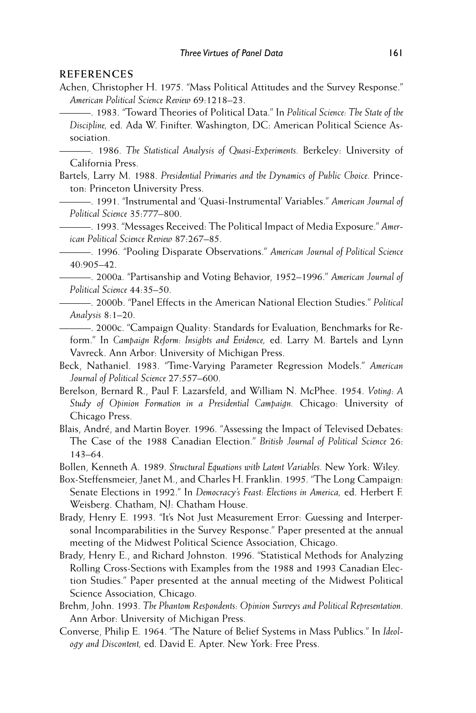#### **REFERENCES**

Achen, Christopher H. 1975. "Mass Political Attitudes and the Survey Response." *American Political Science Review* 69:1218–23.

———. 1983. "Toward Theories of Political Data." In *Political Science: The State of the Discipline,* ed. Ada W. Finifter. Washington, DC: American Political Science Association.

———. 1986. *The Statistical Analysis of Quasi-Experiments.* Berkeley: University of California Press.

- Bartels, Larry M. 1988. *Presidential Primaries and the Dynamics of Public Choice.* Princeton: Princeton University Press.
	- ———. 1991. "Instrumental and 'Quasi-Instrumental' Variables." *American Journal of Political Science* 35:777–800.

———. 1993. "Messages Received: The Political Impact of Media Exposure." *American Political Science Review* 87:267–85.

———. 1996. "Pooling Disparate Observations." *American Journal of Political Science* 40:905–42.

———. 2000a. "Partisanship and Voting Behavior, 1952–1996." *American Journal of Political Science* 44:35–50.

———. 2000b. "Panel Effects in the American National Election Studies." *Political Analysis* 8:1–20.

———. 2000c. "Campaign Quality: Standards for Evaluation, Benchmarks for Reform." In *Campaign Reform: Insights and Evidence,* ed. Larry M. Bartels and Lynn Vavreck. Ann Arbor: University of Michigan Press.

- Beck, Nathaniel. 1983. "Time-Varying Parameter Regression Models." *American Journal of Political Science* 27:557–600.
- Berelson, Bernard R., Paul F. Lazarsfeld, and William N. McPhee. 1954. *Voting: A Study of Opinion Formation in a Presidential Campaign.* Chicago: University of Chicago Press.
- Blais, André, and Martin Boyer. 1996. "Assessing the Impact of Televised Debates: The Case of the 1988 Canadian Election." *British Journal of Political Science* 26: 143–64.

Bollen, Kenneth A. 1989. *Structural Equations with Latent Variables.* New York: Wiley.

- Box-Steffensmeier, Janet M., and Charles H. Franklin. 1995. "The Long Campaign: Senate Elections in 1992." In *Democracy's Feast: Elections in America,* ed. Herbert F. Weisberg. Chatham, NJ: Chatham House.
- Brady, Henry E. 1993. "It's Not Just Measurement Error: Guessing and Interpersonal Incomparabilities in the Survey Response." Paper presented at the annual meeting of the Midwest Political Science Association, Chicago.
- Brady, Henry E., and Richard Johnston. 1996. "Statistical Methods for Analyzing Rolling Cross-Sections with Examples from the 1988 and 1993 Canadian Election Studies." Paper presented at the annual meeting of the Midwest Political Science Association, Chicago.
- Brehm, John. 1993. *The Phantom Respondents: Opinion Surveys and Political Representation.* Ann Arbor: University of Michigan Press.
- Converse, Philip E. 1964. "The Nature of Belief Systems in Mass Publics." In *Ideology and Discontent,* ed. David E. Apter. New York: Free Press.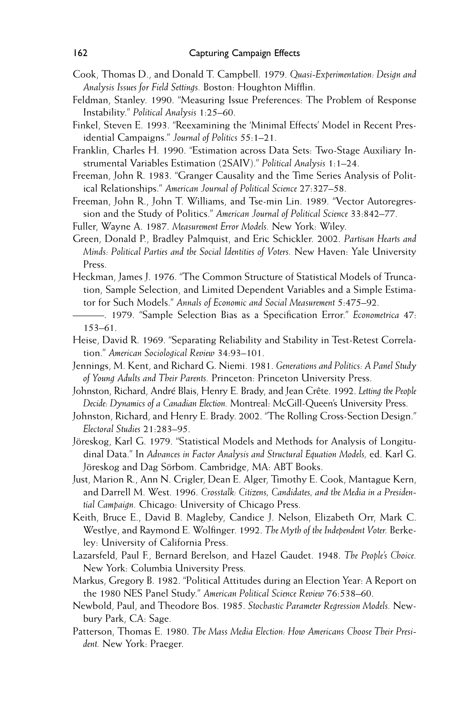- Cook, Thomas D., and Donald T. Campbell. 1979. *Quasi-Experimentation: Design and* Analysis Issues for Field Settings. Boston: Houghton Mifflin.
- Feldman, Stanley. 1990. "Measuring Issue Preferences: The Problem of Response Instability." *Political Analysis* 1:25–60.
- Finkel, Steven E. 1993. "Reexamining the 'Minimal Effects' Model in Recent Presidential Campaigns." *Journal of Politics* 55:1–21.
- Franklin, Charles H. 1990. "Estimation across Data Sets: Two-Stage Auxiliary Instrumental Variables Estimation (2SAIV)." *Political Analysis* 1:1–24.
- Freeman, John R. 1983. "Granger Causality and the Time Series Analysis of Political Relationships." *American Journal of Political Science* 27:327–58.
- Freeman, John R., John T. Williams, and Tse-min Lin. 1989. "Vector Autoregression and the Study of Politics." *American Journal of Political Science* 33:842–77.
- Fuller, Wayne A. 1987. *Measurement Error Models.* New York: Wiley.
- Green, Donald P., Bradley Palmquist, and Eric Schickler. 2002. *Partisan Hearts and Minds: Political Parties and the Social Identities of Voters.* New Haven: Yale University Press.
- Heckman, James J. 1976. "The Common Structure of Statistical Models of Truncation, Sample Selection, and Limited Dependent Variables and a Simple Estimator for Such Models." *Annals of Economic and Social Measurement* 5:475–92.

- Heise, David R. 1969. "Separating Reliability and Stability in Test-Retest Correlation." *American Sociological Review* 34:93–101.
- Jennings, M. Kent, and Richard G. Niemi. 1981. *Generations and Politics: A Panel Study of Young Adults and Their Parents.* Princeton: Princeton University Press.
- Johnston, Richard, André Blais, Henry E. Brady, and Jean Crête. 1992. *Letting the People Decide: Dynamics of a Canadian Election.* Montreal: McGill-Queen's University Press.
- Johnston, Richard, and Henry E. Brady. 2002. "The Rolling Cross-Section Design." *Electoral Studies* 21:283–95.
- Jöreskog, Karl G. 1979. "Statistical Models and Methods for Analysis of Longitudinal Data." In *Advances in Factor Analysis and Structural Equation Models,* ed. Karl G. Jöreskog and Dag Sörbom. Cambridge, MA: ABT Books.
- Just, Marion R., Ann N. Crigler, Dean E. Alger, Timothy E. Cook, Mantague Kern, and Darrell M. West. 1996. *Crosstalk: Citizens, Candidates, and the Media in a Presidential Campaign.* Chicago: University of Chicago Press.
- Keith, Bruce E., David B. Magleby, Candice J. Nelson, Elizabeth Orr, Mark C. Westlye, and Raymond E. Wolfinger. 1992. *The Myth of the Independent Voter*. Berkeley: University of California Press.
- Lazarsfeld, Paul F., Bernard Berelson, and Hazel Gaudet. 1948. *The People's Choice.* New York: Columbia University Press.
- Markus, Gregory B. 1982. "Political Attitudes during an Election Year: A Report on the 1980 NES Panel Study." *American Political Science Review* 76:538–60.
- Newbold, Paul, and Theodore Bos. 1985. *Stochastic Parameter Regression Models.* Newbury Park, CA: Sage.
- Patterson, Thomas E. 1980. *The Mass Media Election: How Americans Choose Their President.* New York: Praeger.

<sup>———. 1979. &</sup>quot;Sample Selection Bias as a SpeciAcation Error." *Econometrica* 47: 153–61.